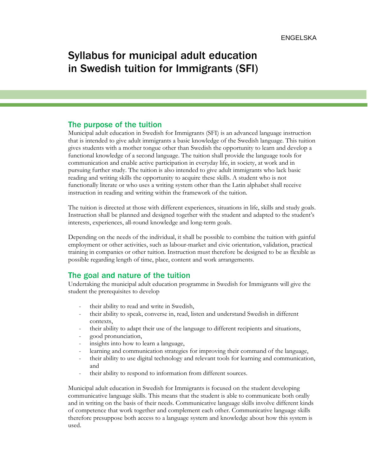# Syllabus for municipal adult education in Swedish tuition for Immigrants (SFI)

#### The purpose of the tuition

Municipal adult education in Swedish for Immigrants (SFI) is an advanced language instruction that is intended to give adult immigrants a basic knowledge of the Swedish language. This tuition gives students with a mother tongue other than Swedish the opportunity to learn and develop a functional knowledge of a second language. The tuition shall provide the language tools for communication and enable active participation in everyday life, in society, at work and in pursuing further study. The tuition is also intended to give adult immigrants who lack basic reading and writing skills the opportunity to acquire these skills. A student who is not functionally literate or who uses a writing system other than the Latin alphabet shall receive instruction in reading and writing within the framework of the tuition.

The tuition is directed at those with different experiences, situations in life, skills and study goals. Instruction shall be planned and designed together with the student and adapted to the student's interests, experiences, all-round knowledge and long-term goals.

Depending on the needs of the individual, it shall be possible to combine the tuition with gainful employment or other activities, such as labour-market and civic orientation, validation, practical training in companies or other tuition. Instruction must therefore be designed to be as flexible as possible regarding length of time, place, content and work arrangements.

# The goal and nature of the tuition

Undertaking the municipal adult education programme in Swedish for Immigrants will give the student the prerequisites to develop

- their ability to read and write in Swedish,
- their ability to speak, converse in, read, listen and understand Swedish in different contexts,
- their ability to adapt their use of the language to different recipients and situations,
- good pronunciation,
- insights into how to learn a language,
- learning and communication strategies for improving their command of the language,
- their ability to use digital technology and relevant tools for learning and communication, and
- their ability to respond to information from different sources.

Municipal adult education in Swedish for Immigrants is focused on the student developing communicative language skills. This means that the student is able to communicate both orally and in writing on the basis of their needs. Communicative language skills involve different kinds of competence that work together and complement each other. Communicative language skills therefore presuppose both access to a language system and knowledge about how this system is used.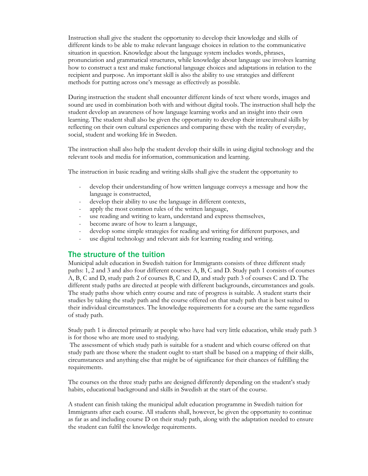Instruction shall give the student the opportunity to develop their knowledge and skills of different kinds to be able to make relevant language choices in relation to the communicative situation in question. Knowledge about the language system includes words, phrases, pronunciation and grammatical structures, while knowledge about language use involves learning how to construct a text and make functional language choices and adaptations in relation to the recipient and purpose. An important skill is also the ability to use strategies and different methods for putting across one's message as effectively as possible.

During instruction the student shall encounter different kinds of text where words, images and sound are used in combination both with and without digital tools. The instruction shall help the student develop an awareness of how language learning works and an insight into their own learning. The student shall also be given the opportunity to develop their intercultural skills by reflecting on their own cultural experiences and comparing these with the reality of everyday, social, student and working life in Sweden.

The instruction shall also help the student develop their skills in using digital technology and the relevant tools and media for information, communication and learning.

The instruction in basic reading and writing skills shall give the student the opportunity to

- develop their understanding of how written language conveys a message and how the language is constructed,
- develop their ability to use the language in different contexts,
- apply the most common rules of the written language,
- use reading and writing to learn, understand and express themselves,
- become aware of how to learn a language,
- develop some simple strategies for reading and writing for different purposes, and
- use digital technology and relevant aids for learning reading and writing.

#### The structure of the tuition

Municipal adult education in Swedish tuition for Immigrants consists of three different study paths: 1, 2 and 3 and also four different courses: A, B, C and D. Study path 1 consists of courses A, B, C and D, study path 2 of courses B, C and D, and study path 3 of courses C and D. The different study paths are directed at people with different backgrounds, circumstances and goals. The study paths show which entry course and rate of progress is suitable. A student starts their studies by taking the study path and the course offered on that study path that is best suited to their individual circumstances. The knowledge requirements for a course are the same regardless of study path.

Study path 1 is directed primarily at people who have had very little education, while study path 3 is for those who are more used to studying.

The assessment of which study path is suitable for a student and which course offered on that study path are those where the student ought to start shall be based on a mapping of their skills, circumstances and anything else that might be of significance for their chances of fulfilling the requirements.

The courses on the three study paths are designed differently depending on the student's study habits, educational background and skills in Swedish at the start of the course.

A student can finish taking the municipal adult education programme in Swedish tuition for Immigrants after each course. All students shall, however, be given the opportunity to continue as far as and including course D on their study path, along with the adaptation needed to ensure the student can fulfil the knowledge requirements.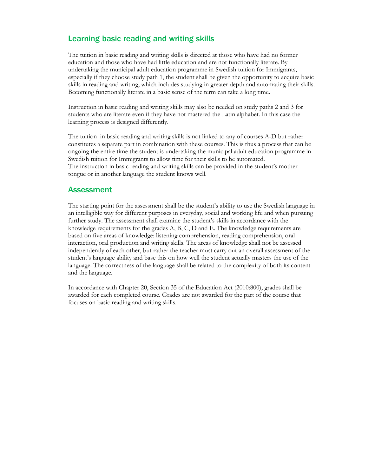# Learning basic reading and writing skills

The tuition in basic reading and writing skills is directed at those who have had no former education and those who have had little education and are not functionally literate. By undertaking the municipal adult education programme in Swedish tuition for Immigrants, especially if they choose study path 1, the student shall be given the opportunity to acquire basic skills in reading and writing, which includes studying in greater depth and automating their skills. Becoming functionally literate in a basic sense of the term can take a long time.

Instruction in basic reading and writing skills may also be needed on study paths 2 and 3 for students who are literate even if they have not mastered the Latin alphabet. In this case the learning process is designed differently.

The tuition in basic reading and writing skills is not linked to any of courses A-D but rather constitutes a separate part in combination with these courses. This is thus a process that can be ongoing the entire time the student is undertaking the municipal adult education programme in Swedish tuition for Immigrants to allow time for their skills to be automated. The instruction in basic reading and writing skills can be provided in the student's mother tongue or in another language the student knows well.

#### Assessment

The starting point for the assessment shall be the student's ability to use the Swedish language in an intelligible way for different purposes in everyday, social and working life and when pursuing further study. The assessment shall examine the student's skills in accordance with the knowledge requirements for the grades A, B, C, D and E. The knowledge requirements are based on five areas of knowledge: listening comprehension, reading comprehension, oral interaction, oral production and writing skills. The areas of knowledge shall not be assessed independently of each other, but rather the teacher must carry out an overall assessment of the student's language ability and base this on how well the student actually masters the use of the language. The correctness of the language shall be related to the complexity of both its content and the language.

In accordance with Chapter 20, Section 35 of the Education Act (2010:800), grades shall be awarded for each completed course. Grades are not awarded for the part of the course that focuses on basic reading and writing skills.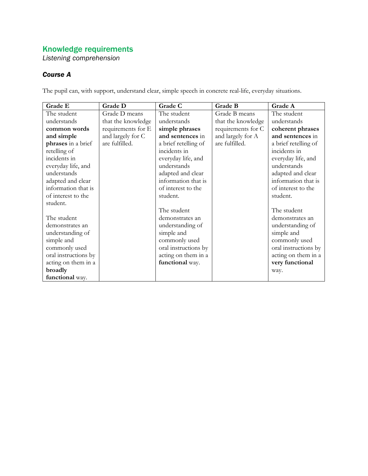*Listening comprehension*

# *Course A*

The pupil can, with support, understand clear, simple speech in concrete real-life, everyday situations.

| Grade E              | Grade D            | Grade C              | Grade B            | Grade A              |
|----------------------|--------------------|----------------------|--------------------|----------------------|
| The student          | Grade D means      | The student          | Grade B means      | The student          |
| understands          | that the knowledge | understands          | that the knowledge | understands          |
| common words         | requirements for E | simple phrases       | requirements for C | coherent phrases     |
| and simple           | and largely for C  | and sentences in     | and largely for A  | and sentences in     |
| phrases in a brief   | are fulfilled.     | a brief retelling of | are fulfilled.     | a brief retelling of |
| retelling of         |                    | incidents in         |                    | incidents in         |
| incidents in         |                    | everyday life, and   |                    | everyday life, and   |
| everyday life, and   |                    | understands          |                    | understands          |
| understands          |                    | adapted and clear    |                    | adapted and clear    |
| adapted and clear    |                    | information that is  |                    | information that is  |
| information that is  |                    | of interest to the   |                    | of interest to the   |
| of interest to the   |                    | student.             |                    | student.             |
| student.             |                    |                      |                    |                      |
|                      |                    | The student          |                    | The student          |
| The student          |                    | demonstrates an      |                    | demonstrates an      |
| demonstrates an      |                    | understanding of     |                    | understanding of     |
| understanding of     |                    | simple and           |                    | simple and           |
| simple and           |                    | commonly used        |                    | commonly used        |
| commonly used        |                    | oral instructions by |                    | oral instructions by |
| oral instructions by |                    | acting on them in a  |                    | acting on them in a  |
| acting on them in a  |                    | functional way.      |                    | very functional      |
| broadly              |                    |                      |                    | way.                 |
| functional way.      |                    |                      |                    |                      |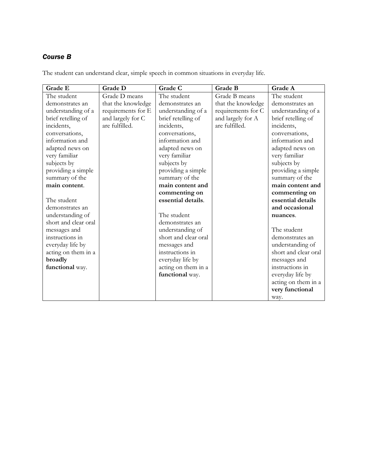The student can understand clear, simple speech in common situations in everyday life.

| Grade E              | <b>Grade D</b>     | Grade C              | Grade B            | Grade A              |
|----------------------|--------------------|----------------------|--------------------|----------------------|
| The student          | Grade D means      | The student          | Grade B means      | The student          |
| demonstrates an      | that the knowledge | demonstrates an      | that the knowledge | demonstrates an      |
| understanding of a   | requirements for E | understanding of a   | requirements for C | understanding of a   |
| brief retelling of   | and largely for C  | brief retelling of   | and largely for A  | brief retelling of   |
| incidents,           | are fulfilled.     | incidents,           | are fulfilled.     | incidents,           |
| conversations,       |                    | conversations,       |                    | conversations,       |
| information and      |                    | information and      |                    | information and      |
| adapted news on      |                    | adapted news on      |                    | adapted news on      |
| very familiar        |                    | very familiar        |                    | very familiar        |
| subjects by          |                    | subjects by          |                    | subjects by          |
| providing a simple   |                    | providing a simple   |                    | providing a simple   |
| summary of the       |                    | summary of the       |                    | summary of the       |
| main content.        |                    | main content and     |                    | main content and     |
|                      |                    | commenting on        |                    | commenting on        |
| The student          |                    | essential details.   |                    | essential details    |
| demonstrates an      |                    |                      |                    | and occasional       |
| understanding of     |                    | The student          |                    | nuances.             |
| short and clear oral |                    | demonstrates an      |                    |                      |
| messages and         |                    | understanding of     |                    | The student          |
| instructions in      |                    | short and clear oral |                    | demonstrates an      |
| everyday life by     |                    | messages and         |                    | understanding of     |
| acting on them in a  |                    | instructions in      |                    | short and clear oral |
| broadly              |                    | everyday life by     |                    | messages and         |
| functional way.      |                    | acting on them in a  |                    | instructions in      |
|                      |                    | functional way.      |                    | everyday life by     |
|                      |                    |                      |                    | acting on them in a  |
|                      |                    |                      |                    | very functional      |
|                      |                    |                      |                    | way.                 |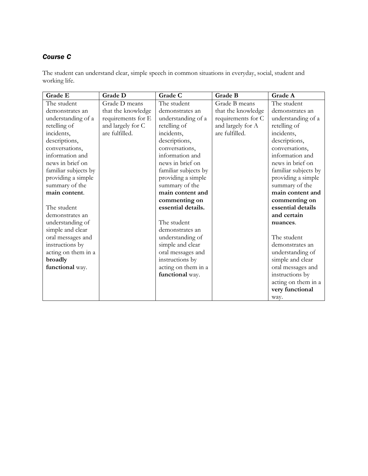The student can understand clear, simple speech in common situations in everyday, social, student and working life.

| Grade E              | Grade D            | Grade C              | Grade B            | Grade A              |
|----------------------|--------------------|----------------------|--------------------|----------------------|
| The student          | Grade D means      | The student          | Grade B means      | The student          |
| demonstrates an      | that the knowledge | demonstrates an      | that the knowledge | demonstrates an      |
| understanding of a   | requirements for E | understanding of a   | requirements for C | understanding of a   |
| retelling of         | and largely for C  | retelling of         | and largely for A  | retelling of         |
| incidents,           | are fulfilled.     | incidents,           | are fulfilled.     | incidents,           |
| descriptions,        |                    | descriptions,        |                    | descriptions,        |
| conversations,       |                    | conversations,       |                    | conversations,       |
| information and      |                    | information and      |                    | information and      |
| news in brief on     |                    | news in brief on     |                    | news in brief on     |
| familiar subjects by |                    | familiar subjects by |                    | familiar subjects by |
| providing a simple   |                    | providing a simple   |                    | providing a simple   |
| summary of the       |                    | summary of the       |                    | summary of the       |
| main content.        |                    | main content and     |                    | main content and     |
|                      |                    | commenting on        |                    | commenting on        |
| The student          |                    | essential details.   |                    | essential details    |
| demonstrates an      |                    |                      |                    | and certain          |
| understanding of     |                    | The student          |                    | nuances.             |
| simple and clear     |                    | demonstrates an      |                    |                      |
| oral messages and    |                    | understanding of     |                    | The student          |
| instructions by      |                    | simple and clear     |                    | demonstrates an      |
| acting on them in a  |                    | oral messages and    |                    | understanding of     |
| broadly              |                    | instructions by      |                    | simple and clear     |
| functional way.      |                    | acting on them in a  |                    | oral messages and    |
|                      |                    | functional way.      |                    | instructions by      |
|                      |                    |                      |                    | acting on them in a  |
|                      |                    |                      |                    | very functional      |
|                      |                    |                      |                    | way.                 |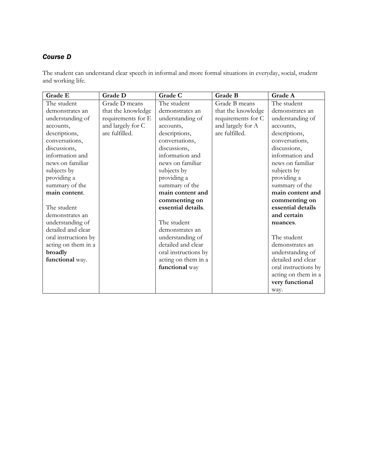The student can understand clear speech in informal and more formal situations in everyday, social, student and working life.

| Grade E              | Grade D            | Grade C              | Grade B            | Grade A              |
|----------------------|--------------------|----------------------|--------------------|----------------------|
| The student          | Grade D means      | The student          | Grade B means      | The student          |
| demonstrates an      | that the knowledge | demonstrates an      | that the knowledge | demonstrates an      |
| understanding of     | requirements for E | understanding of     | requirements for C | understanding of     |
| accounts,            | and largely for C  | accounts,            | and largely for A  | accounts,            |
| descriptions,        | are fulfilled.     | descriptions,        | are fulfilled.     | descriptions,        |
| conversations,       |                    | conversations,       |                    | conversations,       |
| discussions,         |                    | discussions,         |                    | discussions,         |
| information and      |                    | information and      |                    | information and      |
| news on familiar     |                    | news on familiar     |                    | news on familiar     |
| subjects by          |                    | subjects by          |                    | subjects by          |
| providing a          |                    | providing a          |                    | providing a          |
| summary of the       |                    | summary of the       |                    | summary of the       |
| main content.        |                    | main content and     |                    | main content and     |
|                      |                    | commenting on        |                    | commenting on        |
| The student          |                    | essential details.   |                    | essential details    |
| demonstrates an      |                    |                      |                    | and certain          |
| understanding of     |                    | The student          |                    | nuances.             |
| detailed and clear   |                    | demonstrates an      |                    |                      |
| oral instructions by |                    | understanding of     |                    | The student          |
| acting on them in a  |                    | detailed and clear   |                    | demonstrates an      |
| broadly              |                    | oral instructions by |                    | understanding of     |
| functional way.      |                    | acting on them in a  |                    | detailed and clear   |
|                      |                    | functional way       |                    | oral instructions by |
|                      |                    |                      |                    | acting on them in a  |
|                      |                    |                      |                    | very functional      |
|                      |                    |                      |                    | way.                 |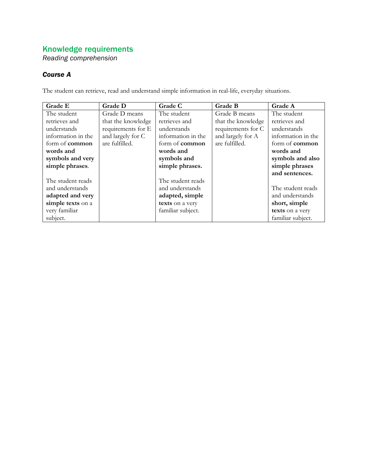*Reading comprehension*

# *Course A*

The student can retrieve, read and understand simple information in real-life, everyday situations.

| Grade E               | Grade D            | Grade C               | Grade B            | Grade A               |
|-----------------------|--------------------|-----------------------|--------------------|-----------------------|
| The student           | Grade D means      | The student           | Grade B means      | The student           |
| retrieves and         | that the knowledge | retrieves and         | that the knowledge | retrieves and         |
| understands           | requirements for E | understands           | requirements for C | understands           |
| information in the    | and largely for C  | information in the    | and largely for A  | information in the    |
| form of <b>common</b> | are fulfilled.     | form of <b>common</b> | are fulfilled.     | form of <b>common</b> |
| words and             |                    | words and             |                    | words and             |
| symbols and very      |                    | symbols and           |                    | symbols and also      |
| simple phrases.       |                    | simple phrases.       |                    | simple phrases        |
|                       |                    |                       |                    | and sentences.        |
| The student reads     |                    | The student reads     |                    |                       |
| and understands       |                    | and understands       |                    | The student reads     |
| adapted and very      |                    | adapted, simple       |                    | and understands       |
| simple texts on a     |                    | texts on a very       |                    | short, simple         |
| very familiar         |                    | familiar subject.     |                    | texts on a very       |
| subject.              |                    |                       |                    | familiar subject.     |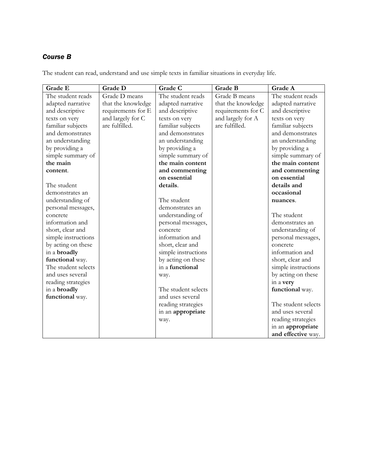The student can read, understand and use simple texts in familiar situations in everyday life.

| Grade E             | Grade D            | Grade C             | Grade B            | Grade A             |
|---------------------|--------------------|---------------------|--------------------|---------------------|
| The student reads   | Grade D means      | The student reads   | Grade B means      | The student reads   |
| adapted narrative   | that the knowledge | adapted narrative   | that the knowledge | adapted narrative   |
| and descriptive     | requirements for E | and descriptive     | requirements for C | and descriptive     |
| texts on very       | and largely for C  | texts on very       | and largely for A  | texts on very       |
| familiar subjects   | are fulfilled.     | familiar subjects   | are fulfilled.     | familiar subjects   |
| and demonstrates    |                    | and demonstrates    |                    | and demonstrates    |
| an understanding    |                    | an understanding    |                    | an understanding    |
| by providing a      |                    | by providing a      |                    | by providing a      |
| simple summary of   |                    | simple summary of   |                    | simple summary of   |
| the main            |                    | the main content    |                    | the main content    |
| content.            |                    | and commenting      |                    | and commenting      |
|                     |                    | on essential        |                    | on essential        |
| The student         |                    | details.            |                    | details and         |
| demonstrates an     |                    |                     |                    | occasional          |
| understanding of    |                    | The student         |                    | nuances.            |
| personal messages,  |                    | demonstrates an     |                    |                     |
| concrete            |                    | understanding of    |                    | The student         |
| information and     |                    | personal messages,  |                    | demonstrates an     |
| short, clear and    |                    | concrete            |                    | understanding of    |
| simple instructions |                    | information and     |                    | personal messages,  |
| by acting on these  |                    | short, clear and    |                    | concrete            |
| in a broadly        |                    | simple instructions |                    | information and     |
| functional way.     |                    | by acting on these  |                    | short, clear and    |
| The student selects |                    | in a functional     |                    | simple instructions |
| and uses several    |                    | way.                |                    | by acting on these  |
| reading strategies  |                    |                     |                    | in a very           |
| in a broadly        |                    | The student selects |                    | functional way.     |
| functional way.     |                    | and uses several    |                    |                     |
|                     |                    | reading strategies  |                    | The student selects |
|                     |                    | in an appropriate   |                    | and uses several    |
|                     |                    | way.                |                    | reading strategies  |
|                     |                    |                     |                    | in an appropriate   |
|                     |                    |                     |                    | and effective way.  |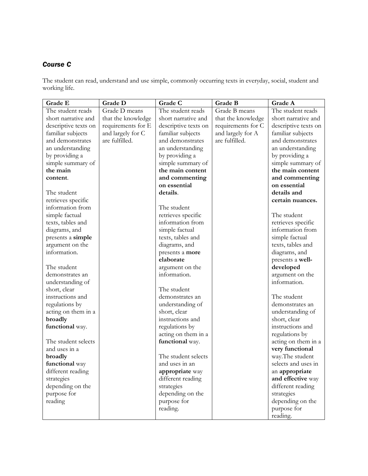The student can read, understand and use simple, commonly occurring texts in everyday, social, student and working life.

| Grade E              | <b>Grade D</b>     | Grade C              | Grade B            | Grade A              |
|----------------------|--------------------|----------------------|--------------------|----------------------|
| The student reads    | Grade D means      | The student reads    | Grade B means      | The student reads    |
| short narrative and  | that the knowledge | short narrative and  | that the knowledge | short narrative and  |
| descriptive texts on | requirements for E | descriptive texts on | requirements for C | descriptive texts on |
| familiar subjects    | and largely for C  | familiar subjects    | and largely for A  | familiar subjects    |
| and demonstrates     | are fulfilled.     | and demonstrates     | are fulfilled.     | and demonstrates     |
| an understanding     |                    | an understanding     |                    | an understanding     |
| by providing a       |                    | by providing a       |                    | by providing a       |
| simple summary of    |                    | simple summary of    |                    | simple summary of    |
| the main             |                    | the main content     |                    | the main content     |
| content.             |                    | and commenting       |                    | and commenting       |
|                      |                    | on essential         |                    | on essential         |
| The student          |                    | details.             |                    | details and          |
| retrieves specific   |                    |                      |                    | certain nuances.     |
| information from     |                    | The student          |                    |                      |
| simple factual       |                    | retrieves specific   |                    | The student          |
| texts, tables and    |                    | information from     |                    | retrieves specific   |
| diagrams, and        |                    | simple factual       |                    | information from     |
| presents a simple    |                    | texts, tables and    |                    | simple factual       |
| argument on the      |                    | diagrams, and        |                    | texts, tables and    |
| information.         |                    | presents a more      |                    | diagrams, and        |
|                      |                    | elaborate            |                    | presents a well-     |
| The student          |                    | argument on the      |                    | developed            |
| demonstrates an      |                    | information.         |                    | argument on the      |
| understanding of     |                    |                      |                    | information.         |
| short, clear         |                    | The student          |                    |                      |
| instructions and     |                    | demonstrates an      |                    | The student          |
| regulations by       |                    | understanding of     |                    | demonstrates an      |
| acting on them in a  |                    | short, clear         |                    | understanding of     |
| broadly              |                    | instructions and     |                    | short, clear         |
| functional way.      |                    | regulations by       |                    | instructions and     |
|                      |                    | acting on them in a  |                    | regulations by       |
| The student selects  |                    | functional way.      |                    | acting on them in a  |
| and uses in a        |                    |                      |                    | very functional      |
| broadly              |                    | The student selects  |                    | way. The student     |
| functional way       |                    | and uses in an       |                    | selects and uses in  |
| different reading    |                    | appropriate way      |                    | an appropriate       |
| strategies           |                    | different reading    |                    | and effective way    |
| depending on the     |                    | strategies           |                    | different reading    |
| purpose for          |                    | depending on the     |                    | strategies           |
| reading              |                    | purpose for          |                    | depending on the     |
|                      |                    | reading.             |                    | purpose for          |
|                      |                    |                      |                    | reading.             |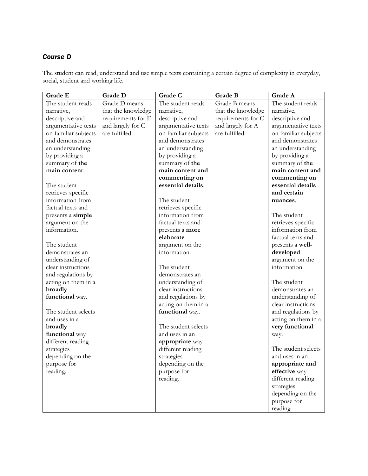The student can read, understand and use simple texts containing a certain degree of complexity in everyday, social, student and working life.

| Grade E              | Grade D            | Grade C              | Grade B            | Grade A              |
|----------------------|--------------------|----------------------|--------------------|----------------------|
| The student reads    | Grade D means      | The student reads    | Grade B means      | The student reads    |
| narrative,           | that the knowledge | narrative,           | that the knowledge | narrative,           |
| descriptive and      | requirements for E | descriptive and      | requirements for C | descriptive and      |
| argumentative texts  | and largely for C  | argumentative texts  | and largely for A  | argumentative texts  |
| on familiar subjects | are fulfilled.     | on familiar subjects | are fulfilled.     | on familiar subjects |
| and demonstrates     |                    | and demonstrates     |                    | and demonstrates     |
| an understanding     |                    | an understanding     |                    | an understanding     |
| by providing a       |                    | by providing a       |                    | by providing a       |
| summary of the       |                    | summary of the       |                    | summary of the       |
| main content.        |                    | main content and     |                    | main content and     |
|                      |                    | commenting on        |                    | commenting on        |
| The student          |                    | essential details.   |                    | essential details    |
| retrieves specific   |                    |                      |                    | and certain          |
| information from     |                    | The student          |                    | nuances.             |
| factual texts and    |                    | retrieves specific   |                    |                      |
| presents a simple    |                    | information from     |                    | The student          |
| argument on the      |                    | factual texts and    |                    | retrieves specific   |
| information.         |                    | presents a more      |                    | information from     |
|                      |                    | elaborate            |                    | factual texts and    |
| The student          |                    | argument on the      |                    | presents a well-     |
| demonstrates an      |                    | information.         |                    | developed            |
| understanding of     |                    |                      |                    | argument on the      |
| clear instructions   |                    | The student          |                    | information.         |
| and regulations by   |                    | demonstrates an      |                    |                      |
| acting on them in a  |                    | understanding of     |                    | The student          |
| broadly              |                    | clear instructions   |                    | demonstrates an      |
| functional way.      |                    | and regulations by   |                    | understanding of     |
|                      |                    | acting on them in a  |                    | clear instructions   |
| The student selects  |                    | functional way.      |                    | and regulations by   |
| and uses in a        |                    |                      |                    | acting on them in a  |
| broadly              |                    | The student selects  |                    | very functional      |
| functional way       |                    | and uses in an       |                    | way.                 |
| different reading    |                    | appropriate way      |                    |                      |
| strategies           |                    | different reading    |                    | The student selects  |
| depending on the     |                    | strategies           |                    | and uses in an       |
| purpose for          |                    | depending on the     |                    | appropriate and      |
| reading.             |                    | purpose for          |                    | effective way        |
|                      |                    | reading.             |                    | different reading    |
|                      |                    |                      |                    | strategies           |
|                      |                    |                      |                    | depending on the     |
|                      |                    |                      |                    | purpose for          |
|                      |                    |                      |                    | reading.             |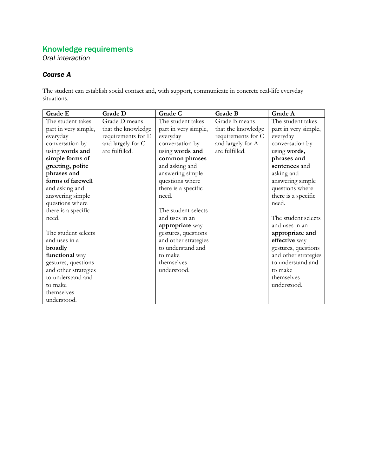*Oral interaction*

#### *Course A*

The student can establish social contact and, with support, communicate in concrete real-life everyday situations.

| Grade E              | Grade D            | Grade C              | Grade B            | Grade A              |
|----------------------|--------------------|----------------------|--------------------|----------------------|
| The student takes    | Grade D means      | The student takes    | Grade B means      | The student takes    |
| part in very simple, | that the knowledge | part in very simple, | that the knowledge | part in very simple, |
| everyday             | requirements for E | everyday             | requirements for C | everyday             |
| conversation by      | and largely for C  | conversation by      | and largely for A  | conversation by      |
| using words and      | are fulfilled.     | using words and      | are fulfilled.     | using words,         |
| simple forms of      |                    | common phrases       |                    | phrases and          |
| greeting, polite     |                    | and asking and       |                    | sentences and        |
| phrases and          |                    | answering simple     |                    | asking and           |
| forms of farewell    |                    | questions where      |                    | answering simple     |
| and asking and       |                    | there is a specific  |                    | questions where      |
| answering simple     |                    | need.                |                    | there is a specific  |
| questions where      |                    |                      |                    | need.                |
| there is a specific  |                    | The student selects  |                    |                      |
| need.                |                    | and uses in an       |                    | The student selects  |
|                      |                    | appropriate way      |                    | and uses in an       |
| The student selects  |                    | gestures, questions  |                    | appropriate and      |
| and uses in a        |                    | and other strategies |                    | effective way        |
| broadly              |                    | to understand and    |                    | gestures, questions  |
| functional way       |                    | to make              |                    | and other strategies |
| gestures, questions  |                    | themselves           |                    | to understand and    |
| and other strategies |                    | understood.          |                    | to make              |
| to understand and    |                    |                      |                    | themselves           |
| to make              |                    |                      |                    | understood.          |
| themselves           |                    |                      |                    |                      |
| understood.          |                    |                      |                    |                      |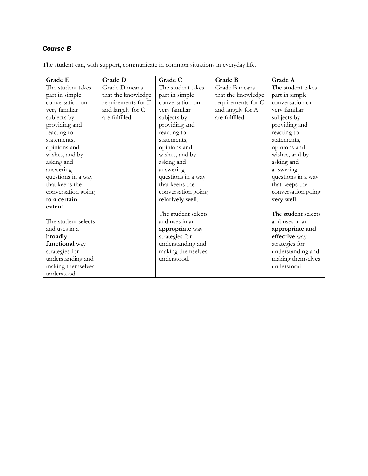| Grade E             | <b>Grade D</b>     | Grade C             | Grade B            | Grade A             |
|---------------------|--------------------|---------------------|--------------------|---------------------|
| The student takes   | Grade D means      | The student takes   | Grade B means      | The student takes   |
| part in simple      | that the knowledge | part in simple      | that the knowledge | part in simple      |
| conversation on     | requirements for E | conversation on     | requirements for C | conversation on     |
| very familiar       | and largely for C  | very familiar       | and largely for A  | very familiar       |
| subjects by         | are fulfilled.     | subjects by         | are fulfilled.     | subjects by         |
| providing and       |                    | providing and       |                    | providing and       |
| reacting to         |                    | reacting to         |                    | reacting to         |
| statements,         |                    | statements,         |                    | statements,         |
| opinions and        |                    | opinions and        |                    | opinions and        |
| wishes, and by      |                    | wishes, and by      |                    | wishes, and by      |
| asking and          |                    | asking and          |                    | asking and          |
| answering           |                    | answering           |                    | answering           |
| questions in a way  |                    | questions in a way  |                    | questions in a way  |
| that keeps the      |                    | that keeps the      |                    | that keeps the      |
| conversation going  |                    | conversation going  |                    | conversation going  |
| to a certain        |                    | relatively well.    |                    | very well.          |
| extent.             |                    |                     |                    |                     |
|                     |                    | The student selects |                    | The student selects |
| The student selects |                    | and uses in an      |                    | and uses in an      |
| and uses in a       |                    | appropriate way     |                    | appropriate and     |
| broadly             |                    | strategies for      |                    | effective way       |
| functional way      |                    | understanding and   |                    | strategies for      |
| strategies for      |                    | making themselves   |                    | understanding and   |
| understanding and   |                    | understood.         |                    | making themselves   |
| making themselves   |                    |                     |                    | understood.         |
| understood.         |                    |                     |                    |                     |

The student can, with support, communicate in common situations in everyday life.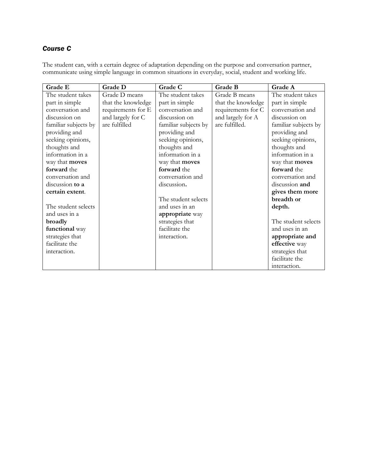The student can, with a certain degree of adaptation depending on the purpose and conversation partner, communicate using simple language in common situations in everyday, social, student and working life.

| Grade E              | Grade D            | Grade C              | Grade B            | Grade A              |
|----------------------|--------------------|----------------------|--------------------|----------------------|
| The student takes    | Grade D means      | The student takes    | Grade B means      | The student takes    |
| part in simple       | that the knowledge | part in simple       | that the knowledge | part in simple       |
| conversation and     | requirements for E | conversation and     | requirements for C | conversation and     |
| discussion on        | and largely for C  | discussion on        | and largely for A  | discussion on        |
| familiar subjects by | are fulfilled      | familiar subjects by | are fulfilled.     | familiar subjects by |
| providing and        |                    | providing and        |                    | providing and        |
| seeking opinions,    |                    | seeking opinions,    |                    | seeking opinions,    |
| thoughts and         |                    | thoughts and         |                    | thoughts and         |
| information in a     |                    | information in a     |                    | information in a     |
| way that moves       |                    | way that moves       |                    | way that moves       |
| forward the          |                    | forward the          |                    | forward the          |
| conversation and     |                    | conversation and     |                    | conversation and     |
| discussion to a      |                    | discussion.          |                    | discussion and       |
| certain extent.      |                    |                      |                    | gives them more      |
|                      |                    | The student selects  |                    | breadth or           |
| The student selects  |                    | and uses in an       |                    | depth.               |
| and uses in a        |                    | appropriate way      |                    |                      |
| broadly              |                    | strategies that      |                    | The student selects  |
| functional way       |                    | facilitate the       |                    | and uses in an       |
| strategies that      |                    | interaction.         |                    | appropriate and      |
| facilitate the       |                    |                      |                    | effective way        |
| interaction.         |                    |                      |                    | strategies that      |
|                      |                    |                      |                    | facilitate the       |
|                      |                    |                      |                    | interaction.         |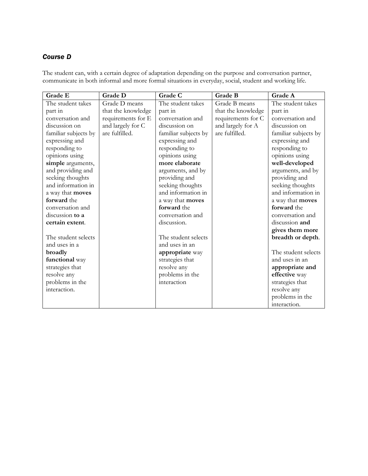The student can, with a certain degree of adaptation depending on the purpose and conversation partner, communicate in both informal and more formal situations in everyday, social, student and working life.

| Grade E                 | Grade D            | Grade C              | <b>Grade B</b>     | Grade A              |
|-------------------------|--------------------|----------------------|--------------------|----------------------|
| The student takes       | Grade D means      | The student takes    | Grade B means      | The student takes    |
| part in                 | that the knowledge | part in              | that the knowledge | part in              |
| conversation and        | requirements for E | conversation and     | requirements for C | conversation and     |
| discussion on           | and largely for C  | discussion on        | and largely for A  | discussion on        |
| familiar subjects by    | are fulfilled.     | familiar subjects by | are fulfilled.     | familiar subjects by |
| expressing and          |                    | expressing and       |                    | expressing and       |
| responding to           |                    | responding to        |                    | responding to        |
| opinions using          |                    | opinions using       |                    | opinions using       |
| simple arguments,       |                    | more elaborate       |                    | well-developed       |
| and providing and       |                    | arguments, and by    |                    | arguments, and by    |
| seeking thoughts        |                    | providing and        |                    | providing and        |
| and information in      |                    | seeking thoughts     |                    | seeking thoughts     |
| a way that <b>moves</b> |                    | and information in   |                    | and information in   |
| forward the             |                    | a way that moves     |                    | a way that moves     |
| conversation and        |                    | forward the          |                    | forward the          |
| discussion to a         |                    | conversation and     |                    | conversation and     |
| certain extent.         |                    | discussion.          |                    | discussion and       |
|                         |                    |                      |                    | gives them more      |
| The student selects     |                    | The student selects  |                    | breadth or depth.    |
| and uses in a           |                    | and uses in an       |                    |                      |
| broadly                 |                    | appropriate way      |                    | The student selects  |
| functional way          |                    | strategies that      |                    | and uses in an       |
| strategies that         |                    | resolve any          |                    | appropriate and      |
| resolve any             |                    | problems in the      |                    | effective way        |
| problems in the         |                    | interaction          |                    | strategies that      |
| interaction.            |                    |                      |                    | resolve any          |
|                         |                    |                      |                    | problems in the      |
|                         |                    |                      |                    | interaction.         |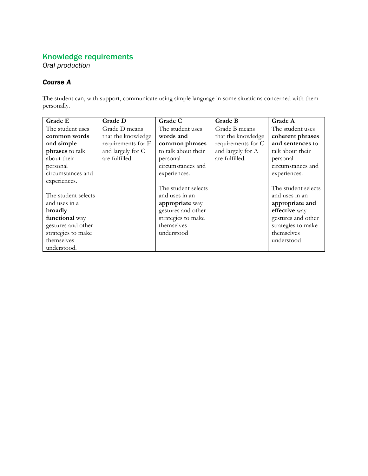*Oral production*

#### *Course A*

The student can, with support, communicate using simple language in some situations concerned with them personally.

| Grade E             | <b>Grade D</b>     | Grade C             | Grade B            | Grade A             |
|---------------------|--------------------|---------------------|--------------------|---------------------|
| The student uses    | Grade D means      | The student uses    | Grade B means      | The student uses    |
| common words        | that the knowledge | words and           | that the knowledge | coherent phrases    |
| and simple          | requirements for E | common phrases      | requirements for C | and sentences to    |
| phrases to talk     | and largely for C  | to talk about their | and largely for A  | talk about their    |
| about their         | are fulfilled.     | personal            | are fulfilled.     | personal            |
| personal            |                    | circumstances and   |                    | circumstances and   |
| circumstances and   |                    | experiences.        |                    | experiences.        |
| experiences.        |                    |                     |                    |                     |
|                     |                    | The student selects |                    | The student selects |
| The student selects |                    | and uses in an      |                    | and uses in an      |
| and uses in a       |                    | appropriate way     |                    | appropriate and     |
| broadly             |                    | gestures and other  |                    | effective way       |
| functional way      |                    | strategies to make  |                    | gestures and other  |
| gestures and other  |                    | themselves          |                    | strategies to make  |
| strategies to make  |                    | understood          |                    | themselves          |
| themselves          |                    |                     |                    | understood          |
| understood.         |                    |                     |                    |                     |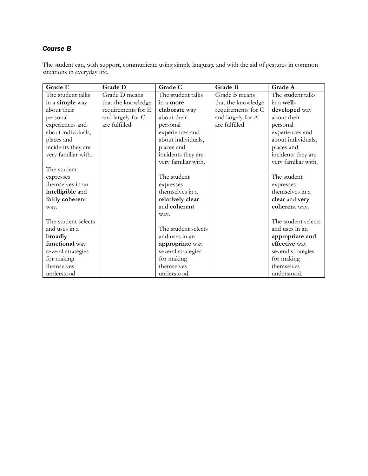The student can, with support, communicate using simple language and with the aid of gestures in common situations in everyday life.

| Grade E             | <b>Grade D</b>     | Grade C             | Grade B            | Grade A             |
|---------------------|--------------------|---------------------|--------------------|---------------------|
| The student talks   | Grade D means      | The student talks   | Grade B means      | The student talks   |
| in a simple way     | that the knowledge | in a more           | that the knowledge | in a well-          |
| about their         | requirements for E | elaborate way       | requirements for C | developed way       |
| personal            | and largely for C  | about their         | and largely for A  | about their         |
| experiences and     | are fulfilled.     | personal            | are fulfilled.     | personal            |
| about individuals,  |                    | experiences and     |                    | experiences and     |
| places and          |                    | about individuals,  |                    | about individuals,  |
| incidents they are  |                    | places and          |                    | places and          |
| very familiar with. |                    | incidents they are  |                    | incidents they are  |
|                     |                    | very familiar with. |                    | very familiar with. |
| The student         |                    |                     |                    |                     |
| expresses           |                    | The student         |                    | The student         |
| themselves in an    |                    | expresses           |                    | expresses           |
| intelligible and    |                    | themselves in a     |                    | themselves in a     |
| fairly coherent     |                    | relatively clear    |                    | clear and very      |
| way.                |                    | and coherent        |                    | coherent way.       |
|                     |                    | way.                |                    |                     |
| The student selects |                    |                     |                    | The student selects |
| and uses in a       |                    | The student selects |                    | and uses in an      |
| broadly             |                    | and uses in an      |                    | appropriate and     |
| functional way      |                    | appropriate way     |                    | effective way       |
| several strategies  |                    | several strategies  |                    | several strategies  |
| for making          |                    | for making          |                    | for making          |
| themselves          |                    | themselves          |                    | themselves          |
| understood          |                    | understood.         |                    | understood.         |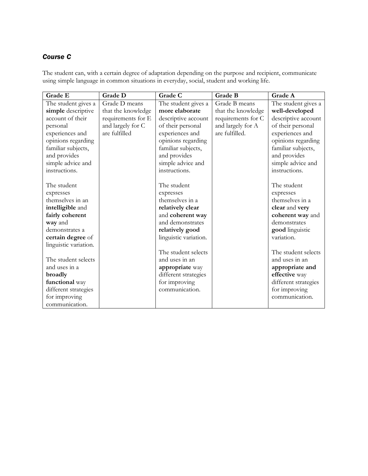The student can, with a certain degree of adaptation depending on the purpose and recipient, communicate using simple language in common situations in everyday, social, student and working life.

| Grade E               | Grade D            | Grade C               | Grade B            | Grade A              |
|-----------------------|--------------------|-----------------------|--------------------|----------------------|
| The student gives a   | Grade D means      | The student gives a   | Grade B means      | The student gives a  |
| simple descriptive    | that the knowledge | more elaborate        | that the knowledge | well-developed       |
| account of their      | requirements for E | descriptive account   | requirements for C | descriptive account  |
| personal              | and largely for C  | of their personal     | and largely for A  | of their personal    |
| experiences and       | are fulfilled      | experiences and       | are fulfilled.     | experiences and      |
| opinions regarding    |                    | opinions regarding    |                    | opinions regarding   |
| familiar subjects,    |                    | familiar subjects,    |                    | familiar subjects,   |
| and provides          |                    | and provides          |                    | and provides         |
| simple advice and     |                    | simple advice and     |                    | simple advice and    |
| instructions.         |                    | instructions.         |                    | instructions.        |
|                       |                    |                       |                    |                      |
| The student           |                    | The student           |                    | The student          |
| expresses             |                    | expresses             |                    | expresses            |
| themselves in an      |                    | themselves in a       |                    | themselves in a      |
| intelligible and      |                    | relatively clear      |                    | clear and very       |
| fairly coherent       |                    | and coherent way      |                    | coherent way and     |
| way and               |                    | and demonstrates      |                    | demonstrates         |
| demonstrates a        |                    | relatively good       |                    | good linguistic      |
| certain degree of     |                    | linguistic variation. |                    | variation.           |
| linguistic variation. |                    |                       |                    |                      |
|                       |                    | The student selects   |                    | The student selects  |
| The student selects   |                    | and uses in an        |                    | and uses in an       |
| and uses in a         |                    | appropriate way       |                    | appropriate and      |
| broadly               |                    | different strategies  |                    | effective way        |
| functional way        |                    | for improving         |                    | different strategies |
| different strategies  |                    | communication.        |                    | for improving        |
| for improving         |                    |                       |                    | communication.       |
| communication.        |                    |                       |                    |                      |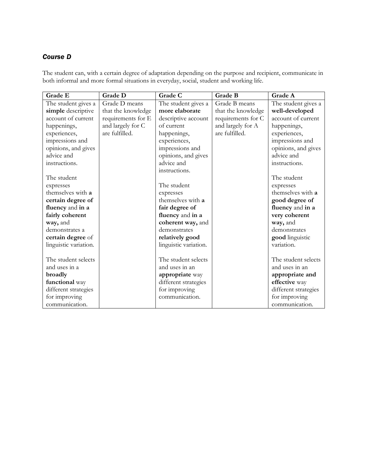The student can, with a certain degree of adaptation depending on the purpose and recipient, communicate in both informal and more formal situations in everyday, social, student and working life.

| Grade E               | Grade D            | Grade C               | Grade B            | Grade A              |
|-----------------------|--------------------|-----------------------|--------------------|----------------------|
| The student gives a   | Grade D means      | The student gives a   | Grade B means      | The student gives a  |
| simple descriptive    | that the knowledge | more elaborate        | that the knowledge | well-developed       |
| account of current    | requirements for E | descriptive account   | requirements for C | account of current   |
| happenings,           | and largely for C  | of current.           | and largely for A  | happenings,          |
| experiences,          | are fulfilled.     | happenings,           | are fulfilled.     | experiences,         |
| impressions and       |                    | experiences,          |                    | impressions and      |
| opinions, and gives   |                    | impressions and       |                    | opinions, and gives  |
| advice and            |                    | opinions, and gives   |                    | advice and           |
| instructions.         |                    | advice and            |                    | instructions.        |
|                       |                    | instructions.         |                    |                      |
| The student           |                    |                       |                    | The student          |
| expresses             |                    | The student           |                    | expresses            |
| themselves with a     |                    | expresses             |                    | themselves with a    |
| certain degree of     |                    | themselves with a     |                    | good degree of       |
| fluency and in a      |                    | fair degree of        |                    | fluency and in a     |
| fairly coherent       |                    | fluency and in a      |                    | very coherent        |
| way, and              |                    | coherent way, and     |                    | way, and             |
| demonstrates a        |                    | demonstrates          |                    | demonstrates         |
| certain degree of     |                    | relatively good       |                    | good linguistic      |
| linguistic variation. |                    | linguistic variation. |                    | variation.           |
|                       |                    |                       |                    |                      |
| The student selects   |                    | The student selects   |                    | The student selects  |
| and uses in a         |                    | and uses in an        |                    | and uses in an       |
| broadly               |                    | appropriate way       |                    | appropriate and      |
| functional way        |                    | different strategies  |                    | effective way        |
| different strategies  |                    | for improving         |                    | different strategies |
| for improving         |                    | communication.        |                    | for improving        |
| communication.        |                    |                       |                    | communication.       |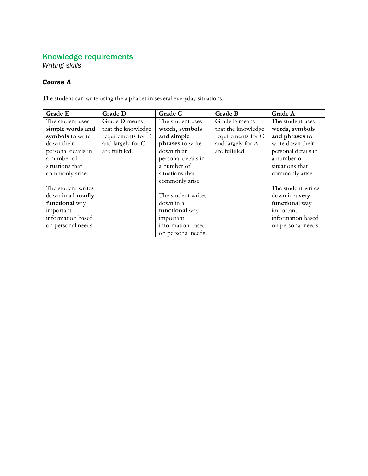*Writing skills*

# *Course A*

The student can write using the alphabet in several everyday situations.

| Grade E                  | <b>Grade D</b>     | Grade C             | <b>Grade B</b>     | Grade A             |
|--------------------------|--------------------|---------------------|--------------------|---------------------|
| The student uses         | Grade D means      | The student uses    | Grade B means      | The student uses    |
| simple words and         | that the knowledge | words, symbols      | that the knowledge | words, symbols      |
| symbols to write         | requirements for E | and simple          | requirements for C | and phrases to      |
| down their               | and largely for C  | phrases to write    | and largely for A  | write down their    |
| personal details in      | are fulfilled.     | down their          | are fulfilled.     | personal details in |
| a number of              |                    | personal details in |                    | a number of         |
| situations that          |                    | a number of         |                    | situations that     |
| commonly arise.          |                    | situations that     |                    | commonly arise.     |
|                          |                    | commonly arise.     |                    |                     |
| The student writes       |                    |                     |                    | The student writes  |
| down in a <b>broadly</b> |                    | The student writes  |                    | down in a very      |
| functional way           |                    | down in a           |                    | functional way      |
| important                |                    | functional way      |                    | important           |
| information based        |                    | important           |                    | information based   |
| on personal needs.       |                    | information based   |                    | on personal needs.  |
|                          |                    | on personal needs.  |                    |                     |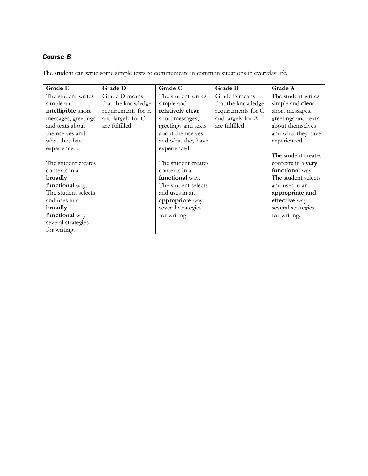The student can write some simple texts to communicate in common situations in everyday life.

| Grade E             | <b>Grade D</b>     | Grade C             | Grade B            | Grade A             |
|---------------------|--------------------|---------------------|--------------------|---------------------|
| The student writes  | Grade D means      | The student writes  | Grade B means      | The student writes  |
| simple and          | that the knowledge | simple and          | that the knowledge | simple and clear    |
| intelligible short  | requirements for E | relatively clear    | requirements for C | short messages,     |
| messages, greetings | and largely for C  | short messages,     | and largely for A  | greetings and texts |
| and texts about     | are fulfilled      | greetings and texts | are fulfilled.     | about themselves    |
| themselves and      |                    | about themselves    |                    | and what they have  |
| what they have      |                    | and what they have  |                    | experienced.        |
| experienced.        |                    | experienced.        |                    |                     |
|                     |                    |                     |                    | The student creates |
| The student creates |                    | The student creates |                    | contexts in a very  |
| contexts in a       |                    | contexts in a       |                    | functional way.     |
| broadly             |                    | functional way.     |                    | The student selects |
| functional way.     |                    | The student selects |                    | and uses in an      |
| The student selects |                    | and uses in an      |                    | appropriate and     |
| and uses in a       |                    | appropriate way     |                    | effective way       |
| broadly             |                    | several strategies  |                    | several strategies  |
| functional way      |                    | for writing.        |                    | for writing.        |
| several strategies  |                    |                     |                    |                     |
| for writing.        |                    |                     |                    |                     |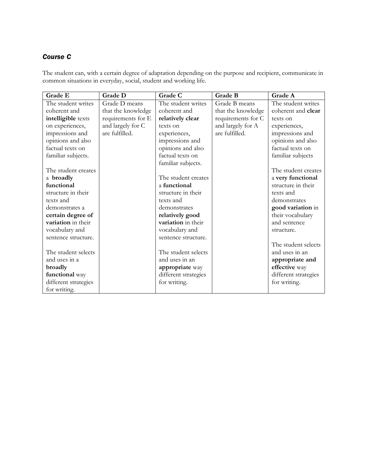The student can, with a certain degree of adaptation depending on the purpose and recipient, communicate in common situations in everyday, social, student and working life.

| Grade E              | Grade D            | Grade C              | Grade B            | Grade A              |
|----------------------|--------------------|----------------------|--------------------|----------------------|
| The student writes   | Grade D means      | The student writes   | Grade B means      | The student writes   |
| coherent and         | that the knowledge | coherent and         | that the knowledge | coherent and clear   |
| intelligible texts   | requirements for E | relatively clear     | requirements for C | texts on             |
| on experiences,      | and largely for C  | texts on             | and largely for A  | experiences,         |
| impressions and      | are fulfilled.     | experiences,         | are fulfilled.     | impressions and      |
| opinions and also    |                    | impressions and      |                    | opinions and also    |
| factual texts on     |                    | opinions and also    |                    | factual texts on     |
| familiar subjects.   |                    | factual texts on     |                    | familiar subjects    |
|                      |                    | familiar subjects.   |                    |                      |
| The student creates  |                    |                      |                    | The student creates  |
| a broadly            |                    | The student creates  |                    | a very functional    |
| functional           |                    | a functional         |                    | structure in their   |
| structure in their   |                    | structure in their   |                    | texts and            |
| texts and            |                    | texts and            |                    | demonstrates         |
| demonstrates a       |                    | demonstrates         |                    | good variation in    |
| certain degree of    |                    | relatively good      |                    | their vocabulary     |
| variation in their   |                    | variation in their   |                    | and sentence         |
| vocabulary and       |                    | vocabulary and       |                    | structure.           |
| sentence structure.  |                    | sentence structure.  |                    |                      |
|                      |                    |                      |                    | The student selects  |
| The student selects  |                    | The student selects  |                    | and uses in an       |
| and uses in a        |                    | and uses in an       |                    | appropriate and      |
| broadly              |                    | appropriate way      |                    | effective way        |
| functional way       |                    | different strategies |                    | different strategies |
| different strategies |                    | for writing.         |                    | for writing.         |
| for writing.         |                    |                      |                    |                      |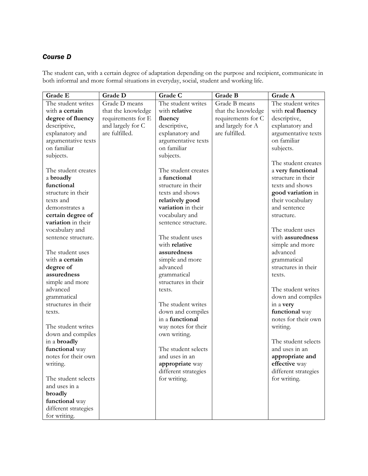The student can, with a certain degree of adaptation depending on the purpose and recipient, communicate in both informal and more formal situations in everyday, social, student and working life.

| Grade E              | Grade D            | Grade C              | Grade B            | Grade A              |
|----------------------|--------------------|----------------------|--------------------|----------------------|
| The student writes   | Grade D means      | The student writes   | Grade B means      | The student writes   |
| with a certain       | that the knowledge | with relative        | that the knowledge | with real fluency    |
| degree of fluency    | requirements for E | fluency              | requirements for C | descriptive,         |
| descriptive,         | and largely for C  | descriptive,         | and largely for A  | explanatory and      |
| explanatory and      | are fulfilled.     | explanatory and      | are fulfilled.     | argumentative texts  |
| argumentative texts  |                    | argumentative texts  |                    | on familiar          |
| on familiar          |                    | on familiar          |                    | subjects.            |
| subjects.            |                    | subjects.            |                    |                      |
|                      |                    |                      |                    | The student creates  |
| The student creates  |                    | The student creates  |                    | a very functional    |
| a broadly            |                    | a functional         |                    | structure in their   |
| functional           |                    | structure in their   |                    | texts and shows      |
| structure in their   |                    | texts and shows      |                    | good variation in    |
| texts and            |                    | relatively good      |                    | their vocabulary     |
| demonstrates a       |                    | variation in their   |                    | and sentence         |
| certain degree of    |                    | vocabulary and       |                    | structure.           |
| variation in their   |                    | sentence structure.  |                    |                      |
| vocabulary and       |                    |                      |                    | The student uses     |
| sentence structure.  |                    | The student uses     |                    | with assuredness     |
|                      |                    | with relative        |                    | simple and more      |
| The student uses     |                    | assuredness          |                    | advanced             |
| with a certain       |                    | simple and more      |                    | grammatical          |
| degree of            |                    | advanced             |                    | structures in their  |
| assuredness          |                    | grammatical          |                    | texts.               |
| simple and more      |                    | structures in their  |                    |                      |
| advanced             |                    | texts.               |                    | The student writes   |
| grammatical          |                    |                      |                    | down and compiles    |
| structures in their  |                    | The student writes   |                    | in a very            |
| texts.               |                    | down and compiles    |                    | functional way       |
|                      |                    | in a functional      |                    | notes for their own  |
| The student writes   |                    | way notes for their  |                    | writing.             |
| down and compiles    |                    | own writing.         |                    |                      |
| in a broadly         |                    |                      |                    | The student selects  |
| functional way       |                    | The student selects  |                    | and uses in an       |
| notes for their own  |                    | and uses in an       |                    | appropriate and      |
| writing.             |                    | appropriate way      |                    | effective way        |
|                      |                    | different strategies |                    | different strategies |
| The student selects  |                    | for writing.         |                    | for writing.         |
| and uses in a        |                    |                      |                    |                      |
| broadly              |                    |                      |                    |                      |
| functional way       |                    |                      |                    |                      |
| different strategies |                    |                      |                    |                      |
| for writing.         |                    |                      |                    |                      |